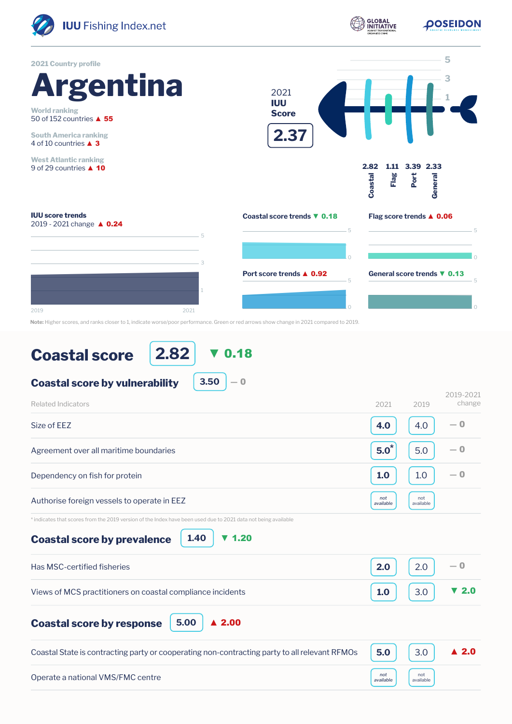

**Note:** Higher scores, and ranks closer to 1, indicate worse/poor performance. Green or red arrows show change in 2021 compared to 2019.

## **Coastal score**

**2.82** ▼ 0.18

**3.50**

 $-0$ 

## **Coastal score by vulnerability**

| <b>Related Indicators</b>                                                                                                                      | 2021             | 2019             | 2019-2021<br>change  |
|------------------------------------------------------------------------------------------------------------------------------------------------|------------------|------------------|----------------------|
| Size of EEZ                                                                                                                                    | 4.0              | 4.0              | $-0$                 |
| Agreement over all maritime boundaries                                                                                                         | $5.0^*$          | 5.0              | — 0                  |
| Dependency on fish for protein                                                                                                                 | 1.0              | 1.0              | $-0$                 |
| Authorise foreign vessels to operate in EEZ                                                                                                    | not<br>available | not<br>available |                      |
| * indicates that scores from the 2019 version of the Index have been used due to 2021 data not being available<br>1,20<br>$\blacktriangledown$ |                  |                  |                      |
| 1.40<br><b>Coastal score by prevalence</b>                                                                                                     |                  |                  |                      |
| Has MSC-certified fisheries                                                                                                                    | 2.0              | 2.0              | $-0$                 |
| Views of MCS practitioners on coastal compliance incidents                                                                                     | 1.0              | 3.0              | ▼ 2.0                |
| $\blacktriangle$ 2.00<br>5.00<br><b>Coastal score by response</b>                                                                              |                  |                  |                      |
| Coastal State is contracting party or cooperating non-contracting party to all relevant RFMOs                                                  | 5.0              | 3.0              | $\blacktriangle$ 2.0 |
| Operate a national VMS/FMC centre                                                                                                              | not<br>available | not<br>available |                      |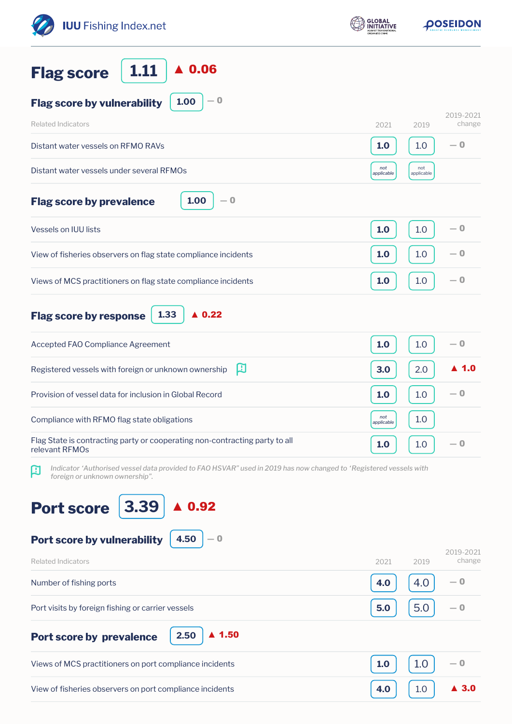| <b>IUU</b> Fishing Index.net                                                                                                                             | <b>GLOBAL</b><br>INITIATIVE | <b>OOSEIDON</b>             |  |
|----------------------------------------------------------------------------------------------------------------------------------------------------------|-----------------------------|-----------------------------|--|
| $\blacktriangle$ 0.06<br>1.11<br><b>Flag score</b>                                                                                                       |                             |                             |  |
| $-0$<br>1.00<br><b>Flag score by vulnerability</b>                                                                                                       |                             |                             |  |
| <b>Related Indicators</b>                                                                                                                                | 2021                        | 2019-2021<br>change<br>2019 |  |
| Distant water vessels on RFMO RAVs                                                                                                                       | 1.0                         | $-0$<br>1.0                 |  |
| Distant water vessels under several RFMOs                                                                                                                | not<br>applicable           | not<br>applicable           |  |
| 1.00<br>$-0$<br><b>Flag score by prevalence</b>                                                                                                          |                             |                             |  |
| Vessels on IUU lists                                                                                                                                     | 1.0                         | $-0$<br>1.0                 |  |
| View of fisheries observers on flag state compliance incidents                                                                                           | 1.0                         | $-0$<br>1.0                 |  |
| Views of MCS practitioners on flag state compliance incidents                                                                                            | 1.0                         | $-0$<br>1.0                 |  |
| $\triangle$ 0.22<br>1.33<br><b>Flag score by response</b>                                                                                                |                             |                             |  |
| Accepted FAO Compliance Agreement                                                                                                                        | 1.0                         | $-0$<br>1.0                 |  |
| 口<br>Registered vessels with foreign or unknown ownership                                                                                                | 3.0                         | $\blacktriangle$ 1.0<br>2.0 |  |
| Provision of vessel data for inclusion in Global Record                                                                                                  | 1.0                         | — 0<br>1.0                  |  |
| Compliance with RFMO flag state obligations                                                                                                              | not<br>applicable           | 1.0                         |  |
| Flag State is contracting party or cooperating non-contracting party to all<br>relevant RFMOs                                                            | 1.0                         | $-0$<br>1.0                 |  |
| Indicator 'Authorised vessel data provided to FAO HSVAR" used in 2019 has now changed to 'Registered vessels with<br>口<br>foreign or unknown ownership". |                             |                             |  |
| 3.39<br>0.92<br><b>Port score</b>                                                                                                                        |                             |                             |  |
| 4.50<br>Port score by vulnerability<br>$-0$                                                                                                              |                             |                             |  |
| <b>Related Indicators</b>                                                                                                                                | 2021                        | 2019-2021<br>change<br>2019 |  |
| Number of fishing ports                                                                                                                                  | 4.0                         | — 0<br>4.0                  |  |
| Port visits by foreign fishing or carrier vessels                                                                                                        | 5.0                         | 5.0<br>$-0$                 |  |
| $\blacktriangle$ 1.50<br>2.50<br>Port score by prevalence                                                                                                |                             |                             |  |
| Views of MCS practitioners on port compliance incidents                                                                                                  | 1.0                         | 1.0<br>— 0                  |  |
| View of fisheries observers on port compliance incidents                                                                                                 | 4.0                         | 1.0<br>-3.0                 |  |